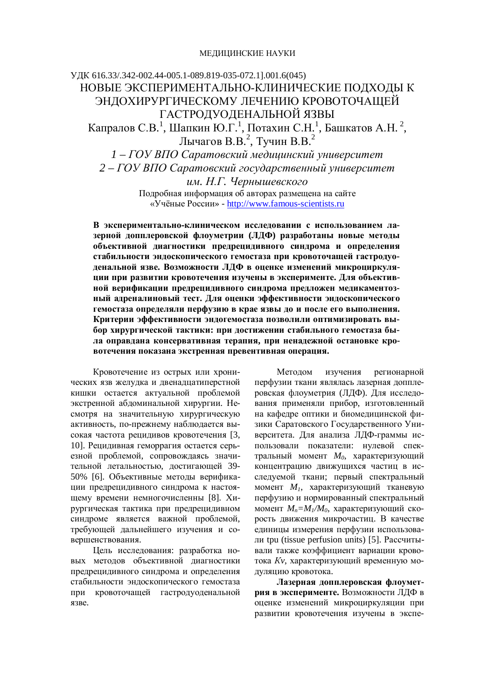## ɍȾɄ 616.33/.342-002.44-005.1-089.819-035-072.1].001.6(045) НОВЫЕ ЭКСПЕРИМЕНТАЛЬНО-КЛИНИЧЕСКИЕ ПОЛХОЛЫ К ЭНДОХИРУРГИЧЕСКОМУ ЛЕЧЕНИЮ КРОВОТОЧАЩЕЙ ГАСТРОДУОДЕНАЛЬНОЙ ЯЗВЫ Капралов С.В.<sup>1</sup>, Шапкин Ю.Г.<sup>1</sup>, Потахин С.Н.<sup>1</sup>, Башкатов А.Н.<sup>2</sup>, Лычагов В.В.<sup>2</sup>, Тучин В.В.<sup>2</sup>  $1 - \text{TOY}$  ВПО Саратовский медицинский университет 2 – ГОУ ВПО Саратовский государственный университет  $u$ *м*. *Н.Г. Чернышевского*

Полробная информация об авторах размешена на сайте «Учёные России» - http://www.famous-scientists.ru

В экспериментально-клиническом исследовании с использованием лазерной допплеровской флоуметрии (ЛДФ) разработаны новые методы **• объективной диагностики предрецидивного синдрома и определения** стабильности эндоскопического гемостаза при кровоточащей гастродуоденальной язве. Возможности ЛДФ в оценке изменений микроциркуля-**ЦИИ ПРИ РАЗВИТИИ КРОВОТЕЧЕНИЯ ИЗУЧЕНЫ В ЭКСПЕРИМЕНТЕ. ДЛЯ Объектив**ной верификации предрецидивного синдрома предложен медикаментозный адреналиновый тест. Для оценки эффективности эндоскопического гемостаза определяли перфузию в крае язвы до и после его выполнения. Критерии эффективности эндогемостаза позволили оптимизировать вы**ɛɨɪɯɢɪɭɪɝɢɱɟɫɤɨɣɬɚɤɬɢɤɢ: ɩɪɢɞɨɫɬɢɠɟɧɢɢɫɬɚɛɢɥɶɧɨɝɨɝɟɦɨɫɬɚɡɚɛɵ**ла оправдана консервативная терапия, при ненадежной остановке кро**вотечения показана экстренная превентивная операция.** 

Кровотечение из острых или хронических язв желудка и двенадцатиперстной кишки остается актуальной проблемой экстренной абдоминальной хирургии. Несмотря на значительную хирургическую активность, по-прежнему наблюдается высокая частота рецидивов кровотечения [3, 10]. Рецидивная геморрагия остается серьезной проблемой, сопровождаясь значительной летальностью, достигающей 39-50% [6]. Объективные методы верификации предрецидивного синдрома к настоящему времени немногочисленны [8]. Хирургическая тактика при предрецидивном синдроме является важной проблемой, требующей дальнейшего изучения и совершенствования.

Цель исследования: разработка новых методов объективной диагностики предрецидивного синдрома и определения стабильности эндоскопического гемостаза при кровоточащей гастродуоденальной язве.

Методом изучения регионарной перфузии ткани являлась лазерная допплеровская флоуметрия (ЛДФ). Для исследования применяли прибор, изготовленный на кафедре оптики и биомедицинской физики Саратовского Государственного Университета. Для анализа ЛДФ-граммы использовали показатели: нулевой спектральный момент  $M_0$ , характеризующий концентрацию движущихся частиц в исследуемой ткани; первый спектральный момент  $M<sub>1</sub>$ , характеризующий тканевую перфузию и нормированный спектральный момент  $M_n = M_1/M_0$ , характеризующий скорость движения микрочастиц. В качестве единицы измерения перфузии использовали tpu (tissue perfusion units) [5]. Рассчитывали также коэффициент вариации кровотока *Кv*, характеризующий временную модуляцию кровотока.

Лазерная допплеровская флоумет**рия в эксперименте.** Возможности ЛДФ в оценке изменений микроциркуляции при развитии кровотечения изучены в экспе-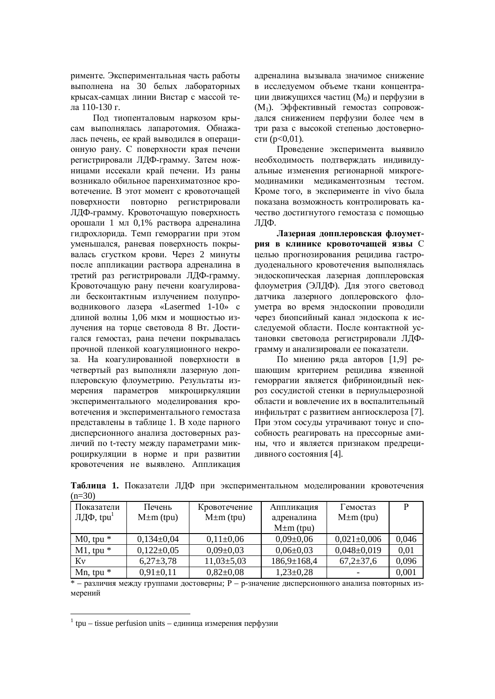рименте. Экспериментальная часть работы выполнена на 30 белых лабораторных крысах-самцах линии Вистар с массой тела 110-130 г.

Под тиопенталовым наркозом крысам выполнялась лапаротомия. Обнажалась печень, ее край выводился в операционную рану. С поверхности края печени регистрировали ЛДФ-грамму. Затем ножницами иссекали край печени. Из раны возникало обильное паренхиматозное кровотечение. В этот момент с кровоточащей поверхности повторно регистрировали ЛДФ-грамму. Кровоточащую поверхность орошали 1 мл 0,1% раствора адреналина гидрохлорида. Темп геморрагии при этом уменьшался, раневая поверхность покрывалась сгустком крови. Через 2 минуты после аппликации раствора адреналина в третий раз регистрировали ЛДФ-грамму. Кровоточащую рану печени коагулировали бесконтактным излучением полупроводникового лазера «Lasermed 1-10» с длиной волны 1.06 мкм и мошностью излучения на торце световода 8 Вт. Достигался гемостаз, рана печени покрывалась прочной пленкой коагуляционного некроза. На коагулированной поверхности в четвертый раз выполняли лазерную допплеровскую флоуметрию. Результаты измерения параметров микроциркуляции экспериментального моделирования кровотечения и экспериментального гемостаза представлены в таблице 1. В ходе парного дисперсионного анализа достоверных различий по t-тесту между параметрами микроциркуляции в норме и при развитии кровотечения не выявлено. Аппликация адреналина вызывала значимое снижение в исследуемом объеме ткани концентрации лвижущихся частиц (Μο) и перфузии в (M<sub>1</sub>). Эффективный гемостаз сопровождался снижением перфузии более чем в три раза с высокой степенью достоверности (p<0,01).

Проведение эксперимента выявило необходимость подтверждать индивидуальные изменения регионарной микрогемодинамики медикаментозным тестом. Кроме того, в эксперименте in vivo была показана возможность контролировать качество достигнутого гемостаза с помощью ЛДФ.

Лазерная допплеровская флоуметрия в клинике кровоточащей язвы С целью прогнозирования рецидива гастродуоденального кровотечения выполнялась эндоскопическая лазерная допплеровская флоуметрия (ЭЛДФ). Для этого световод датчика лазерного доплеровского флоуметра во время эндоскопии проводили через биопсийный канал эндоскопа к исследуемой области. После контактной установки световода регистрировали ЛДФграмму и анализировали ее показатели.

По мнению ряда авторов [1,9] решающим критерием рецидива язвенной геморрагии является фибриноидный некроз сосудистой стенки в периульцерозной области и вовлечение их в воспалительный инфильтрат с развитием ангиосклероза [7]. При этом сосуды утрачивают тонус и способность реагировать на прессорные амины, что и является признаком предрецидивного состояния [4].

| Показатели            | Печень          | Кровотечение     | Аппликация        | Гемостаз          | P     |
|-----------------------|-----------------|------------------|-------------------|-------------------|-------|
| ЛДФ, tpu <sup>1</sup> | $M \pm m$ (tpu) | $M \pm m$ (tpu)  | адреналина        | $M \pm m$ (tpu)   |       |
|                       |                 |                  | $M \pm m$ (tpu)   |                   |       |
| $M0$ , tpu $*$        | $0,134\pm0,04$  | $0,11\pm0,06$    | $0.09 \pm 0.06$   | $0,021 \pm 0,006$ | 0,046 |
| $M1$ , tpu $*$        | $0,122\pm0,05$  | $0,09\pm0,03$    | $0,06 \pm 0,03$   | $0,048 \pm 0,019$ | 0,01  |
| Kv                    | $6,27\pm3,78$   | $11,03 \pm 5,03$ | $186,9 \pm 168,4$ | $67,2{\pm}37,6$   | 0,096 |
| Mn, tpu $*$           | $0,91\pm0,11$   | $0,82{\pm}0,08$  | $1,23\pm0,28$     |                   | 0,001 |

Таблица 1. Показатели ЛДФ при экспериментальном моделировании кровотечения  $(n=30)$ 

 $*$  – различия между группами достоверны; Р – р-значение дисперсионного анализа повторных измерений

 $\overline{a}$ 

 $1$  tpu – tissue perfusion units – единица измерения перфузии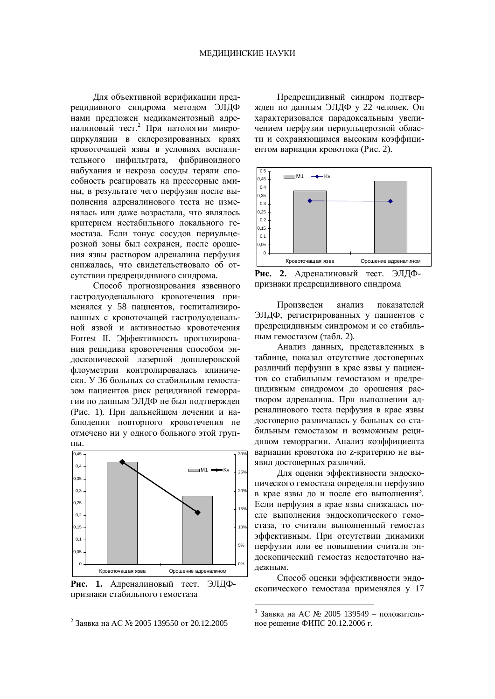Для объективной верификации предрецидивного синдрома методом ЭЛДФ нами предложен медикаментозный адреналиновый тест.<sup>2</sup> При патологии микроциркуляции в склерозированных краях кровоточащей язвы в условиях воспалительного инфильтрата, фибриноидного набухания и некроза сосулы теряли способность реагировать на прессорные амины, в результате чего перфузия после выполнения адреналинового теста не изменялась или даже возрастала, что являлось критерием нестабильного локального гемостаза. Если тонус сосудов периульцерозной зоны был сохранен, после орошения язвы раствором адреналина перфузия снижалась, что свидетельствовало об отсутствии предрецидивного синдрома.

Способ прогнозирования язвенного гастродуоденального кровотечения применялся у 58 пациентов, госпитализированных с кровоточащей гастродуоденальной язвой и активностью кровотечения Forrest II. Эффективность прогнозирования рецидива кровотечения способом эндоскопической лазерной допплеровской флоуметрии контролировалась клинически. У 36 больных со стабильным гемостазом пациентов риск рецидивной геморрагии по данным ЭЛДФ не был подтвержден (Рис. 1). При дальнейшем лечении и наблюдении повторного кровотечения не отмечено ни у одного больного этой группы.



Рис. 1. Адреналиновый тест. ЭЛДФпризнаки стабильного гемостаза

 $\overline{a}$ 

Предрецидивный синдром подтвержден по данным ЭЛДФ у 22 человек. Он характеризовался парадоксальным увеличением перфузии периульцерозной области и сохраняющимся высоким коэффициентом вариации кровотока (Рис. 2).



Рис. 2. Адреналиновый тест. ЭЛДФпризнаки предрецидивного синдрома

Произвелен анализ показателей ЭЛДФ, регистрированных у пациентов с предрецидивным синдромом и со стабильным гемостазом (табл. 2).

Анализ данных, представленных в таблице, показал отсутствие достоверных различий перфузии в крае язвы у пациентов со стабильным гемостазом и предрешиливным синдромом до орошения раствором адреналина. При выполнении адреналинового теста перфузия в крае язвы достоверно различалась у больных со стабильным гемостазом и возможным рецидивом геморрагии. Анализ коэффициента вариании кровотока по *z*-критерию не выявил достоверных различий.

Для оценки эффективности эндоскопического гемостаза определяли перфузию в крае язвы до и после его выполнения<sup>3</sup>. Если перфузия в крае язвы снижалась после выполнения энлоскопического гемостаза, то считали выполненный гемостаз эффективным. При отсутствии динамики перфузии или ее повышении считали эниоскопический гемостаз нелостаточно належным.

Способ оценки эффективности эндоскопического гемостаза применялся у 17

<u>.</u>

<sup>&</sup>lt;sup>2</sup> Заявка на АС № 2005 139550 от 20.12.2005

 $3$  Заявка на АС № 2005 139549 – положительное решение ФИПС 20.12.2006 г.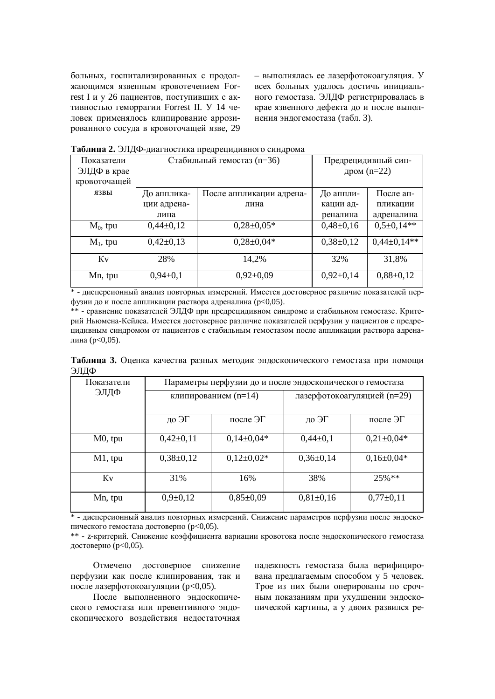больных, госпитализированных с продолжающимся язвенным кровотечением Forrest I и у 26 пациентов. поступивших с активностью геморрагии Forrest II. У 14 человек применялось клипирование аррозированного сосуда в кровоточащей язве, 29 – выполнялась ее лазерфотокоагуляция. У всех больных удалось достичь инициального гемостаза. ЭЛДФ регистрировалась в крае язвенного дефекта до и после выполнения эндогемостаза (табл. 3).

| 1 аблица 2. Элд 4-диагностика предрецидивного синдрома |                            |                          |                     |                 |  |  |  |  |
|--------------------------------------------------------|----------------------------|--------------------------|---------------------|-----------------|--|--|--|--|
| Показатели                                             | Стабильный гемостаз (n=36) |                          | Предрецидивный син- |                 |  |  |  |  |
| ЭЛДФ в крае                                            |                            |                          | дром $(n=22)$       |                 |  |  |  |  |
| кровоточащей                                           |                            |                          |                     |                 |  |  |  |  |
| язвы                                                   | До апплика-                | После аппликации адрена- | До аппли-           | После ап-       |  |  |  |  |
|                                                        | ции адрена-                | лина                     | кации ад-           | пликации        |  |  |  |  |
|                                                        | лина                       |                          | реналина            | адреналина      |  |  |  |  |
| $M_0$ , tpu                                            | $0,44\pm0,12$              | $0,28\pm0,05*$           | $0,48\pm0,16$       | $0,5\pm0,14**$  |  |  |  |  |
| $M_1$ , tpu                                            | $0,42\pm0,13$              | $0,28\pm0,04*$           | $0,38\pm0,12$       | $0,44\pm0,14**$ |  |  |  |  |
| Кv                                                     | 28%                        | 14,2%                    | 32%                 | 31,8%           |  |  |  |  |
| Mn, tpu                                                | $0,94\pm0,1$               | $0,92\pm0,09$            | $0,92\pm0,14$       | $0,88\pm0,12$   |  |  |  |  |

**<del>T</del>еблика 2.** ЭППФ диарисствия правочнициона синтема

\* - дисперсионный анализ повторных измерений. Имеется достоверное различие показателей перфузии до и после аппликации раствора адреналина (p<0,05).

\*\* - сравнение показателей ЭЛДФ при предрецидивном синдроме и стабильном гемостазе. Критерий Ньюмена-Кейлса. Имеется достоверное различие показателей перфузии у пациентов с предрецидивным синдромом от пациентов с стабильным гемостазом после аппликации раствора адреналина (р<0,05).

**Таблица 3.** Оценка качества разных методик эндоскопического гемостаза при помощи ЭЛДФ

| Показатели | Параметры перфузии до и после эндоскопического гемостаза |                  |                             |                |  |
|------------|----------------------------------------------------------|------------------|-----------------------------|----------------|--|
| ЭЛДФ       | клипированием (n=14)                                     |                  | лазерфотокоагуляцией (n=29) |                |  |
|            | до ЭГ                                                    | после Э $\Gamma$ | до ЭГ                       | после ЭГ       |  |
| $M0$ , tpu | $0,42\pm0,11$                                            | $0,14\pm0,04*$   | $0,44\pm0,1$                | $0,21\pm0,04*$ |  |
| $M1$ , tpu | $0,38\pm0,12$                                            | $0,12\pm0,02*$   | $0,36\pm0,14$               | $0,16\pm0,04*$ |  |
| Kv         | 31%                                                      | 16%              | 38%                         | $25\%**$       |  |
| Mn, tpu    | $0,9{\pm}0,12$                                           | $0,85\pm0,09$    | $0,81\pm0,16$               | $0,77\pm0,11$  |  |

<u>|</u><br>\* - дисперсионный анализ повторных измерений. Снижение параметров перфузии после эндоскопического гемостаза достоверно (р<0,05).

\*\* - z-критерий. Снижение коэффициента вариации кровотока после эндоскопического гемостаза достоверно ( $p<0.05$ ).

Отмечено достоверное снижение перфузии как после клипирования, так и после лазерфотокоагуляции (р<0,05).

После выполненного эндоскопического гемостаза или превентивного эндоскопического воздействия недостаточная надежность гемостаза была верифицирована предлагаемым способом у 5 человек. Трое из них были оперированы по срочным показаниям при ухудшении эндоскопической картины, а у двоих развился ре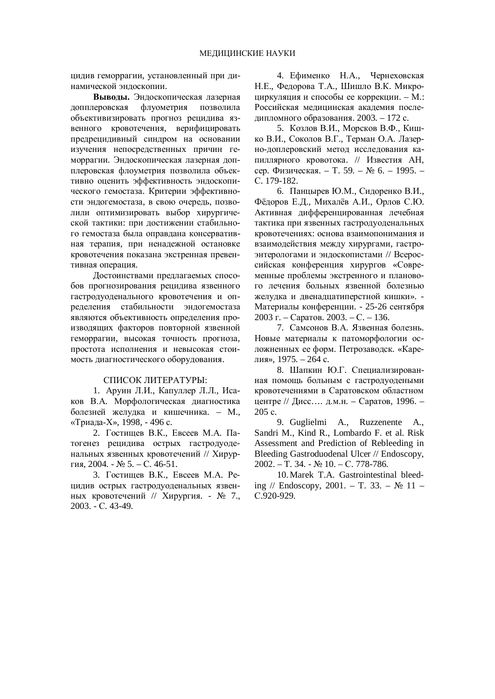цидив геморрагии, установленный при динамической эндоскопии.

**Выволы.** Эндоскопическая лазерная допплеровская флуометрия позволила объективизировать прогноз рецидива язвенного кровотечения, верифицировать предрецидивный синдром на основании изучения непосредственных причин геморрагии. Эндоскопическая лазерная допплеровская флоуметрия позволила объективно оценить эффективность эндоскопического гемостаза. Критерии эффективности эндогемостаза, в свою очередь, позволили оптимизировать выбор хирургической тактики: при достижении стабильного гемостаза была оправдана консервативная терапия, при ненадежной остановке кровотечения показана экстренная превентивная операция.

Достоинствами предлагаемых способов прогнозирования рецидива язвенного гастродуоденального кровотечения и определения стабильности эндогемостаза являются объективность определения производящих факторов повторной язвенной геморрагии, высокая точность прогноза, простота исполнения и невысокая стоимость диагностического оборудования.

## СПИСОК ЛИТЕРАТУРЫ:

1. Аруин Л.И., Капуллер Л.Л., Исаков В.А. Морфологическая диагностика болезней желудка и кишечника. – М., «Триада-Х», 1998, - 496 с.

2. Гостищев В.К., Евсеев М.А. Патогенез рецидива острых гастродуоденальных язвенных кровотечений // Хирургия, 2004. - № 5. – С. 46-51.

3. Гостищев В.К., Евсеев М.А. Рецидив острых гастродуоденальных язвенных кровотечений // Хирургия. - № 7., 2003. - ɋ. 43-49.

4. Ефименко Н.А., Чернеховская Н.Е., Федорова Т.А., Шишло В.К. Микроциркуляция и способы ее коррекции. – М.: Российская мелицинская акалемия последипломного образования. 2003. – 172 с.

5. Козлов В.И., Морсков В.Ф., Кишко В.И., Соколов В.Г., Терман О.А. Лазерно-доплеровский метод исследования капиллярного кровотока. // Известия АН, сер. Физическая. – Т. 59. –  $N_2$  6. – 1995. – C. 179-182.

6. Панцырев Ю.М., Сидоренко В.И., Фёдоров Е.Д., Михалёв А.И., Орлов С.Ю. Активная дифференцированная лечебная тактика при язвенных гастродуоденальных кровотечениях: основа взаимопонимания и взаимодействия между хирургами, гастроэнтерологами и эндоскопистами // Всероссийская конференция хирургов «Современные проблемы экстренного и планового лечения больных язвенной болезнью желулка и лвеналнатиперстной кишки». -Материалы конференции. - 25-26 сентября 2003 г. – Саратов. 2003. – С. – 136.

7. Самсонов В.А. Язвенная болезнь. Новые материалы к патоморфологии осложненных ее форм. Петрозаводск. «Карелия», 1975. – 264 с.

8. Шапкин Ю.Г. Специализированная помощь больным с гастродуодеными кровотечениями в Саратовском областном центре // Дисс.... д.м.н. – Саратов, 1996. – 205 c.

9. Guglielmi A., Ruzzenente A., Sandri M., Kind R., Lombardo F. et al. Risk Assessment and Prediction of Rebleeding in Bleeding Gastroduodenal Ulcer // Endoscopy,  $2002. - T. 34. - N<sub>2</sub> 10. - C. 778-786.$ 

10.Marek T.A. Gastrointestinal bleeding // Endoscopy, 2001. – T. 33. –  $\mathbb{N}^2$  11 – C.920-929.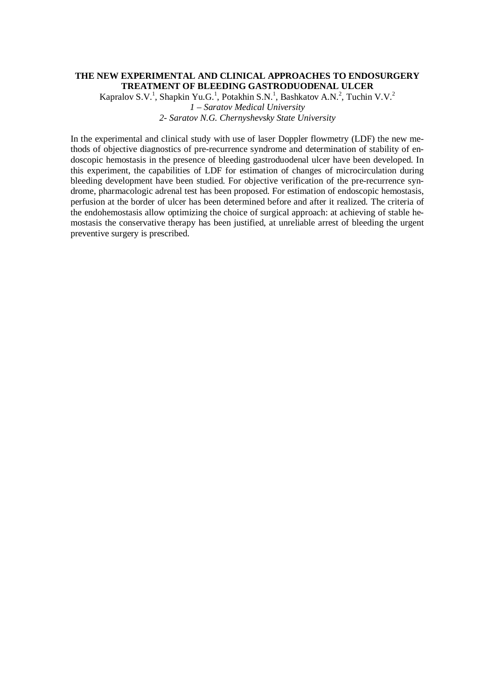## **THE NEW EXPERIMENTAL AND CLINICAL APPROACHES TO ENDOSURGERY TREATMENT OF BLEEDING GASTRODUODENAL ULCER**

Kapralov S.V.<sup>1</sup>, Shapkin Yu.G.<sup>1</sup>, Potakhin S.N.<sup>1</sup>, Bashkatov A.N.<sup>2</sup>, Tuchin V.V.<sup>2</sup> *1 – Saratov Medical University 2- Saratov N.G. Chernyshevsky State University* 

In the experimental and clinical study with use of laser Doppler flowmetry (LDF) the new methods of objective diagnostics of pre-recurrence syndrome and determination of stability of endoscopic hemostasis in the presence of bleeding gastroduodenal ulcer have been developed. In this experiment, the capabilities of LDF for estimation of changes of microcirculation during bleeding development have been studied. For objective verification of the pre-recurrence syndrome, pharmacologic adrenal test has been proposed. For estimation of endoscopic hemostasis, perfusion at the border of ulcer has been determined before and after it realized. The criteria of the endohemostasis allow optimizing the choice of surgical approach: at achieving of stable hemostasis the conservative therapy has been justified, at unreliable arrest of bleeding the urgent preventive surgery is prescribed.